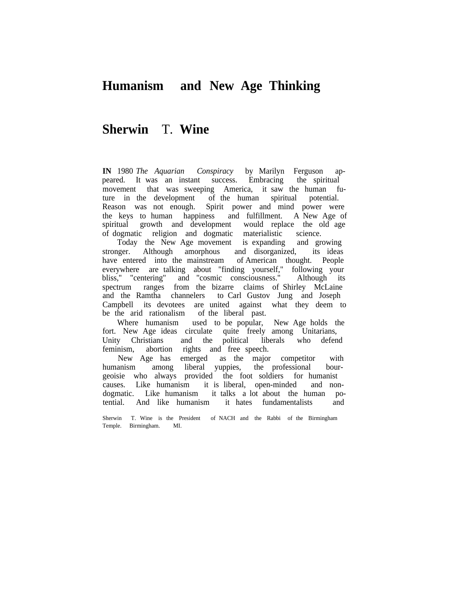## **Humanism and New Age Thinking**

## **Sherwin** T. **Wine**

**IN** 1980 *The Aquarian Conspiracy* by Marilyn Ferguson appeared. It was an instant success. Embracing the spiritual movement that was sweeping America, it saw the human future in the development of the human spiritual potential. Reason was not enough. Spirit power and mind power were the keys to human happiness and fulfillment. A New Age of spiritual growth and development would replace the old age of dogmatic religion and dogmatic materialistic science.

Today the New Age movement is expanding stronger. Although amorphous and disorganized, its ideas have entered into the mainstream of American thought. People everywhere are talking about "finding yourself," following your bliss," "centering" and "cosmic consciousness." Although its spectrum ranges from the bizarre claims of Shirley McLaine and the Ramtha channelers to Carl Gustov Jung and Joseph Campbell its devotees are united against what they deem to be the arid rationalism of the liberal past.

Where humanism used to be popular, New Age holds the fort. New Age ideas circulate quite freely among Unitarians, Unity Christians and the political liberals who defend feminism, abortion rights and free speech.

New Age has emerged as the major competitor with humanism among liberal yuppies, the professional bourgeoisie who always provided the foot soldiers for humanist causes. Like humanism it is liberal, open-minded and nondogmatic. Like humanism it talks a lot about the human potential. And like humanism it hates fundamentalists and

Sherwin T. Wine is the President of NACH and the Rabbi of the Birmingham Temple. Birmingham. MI.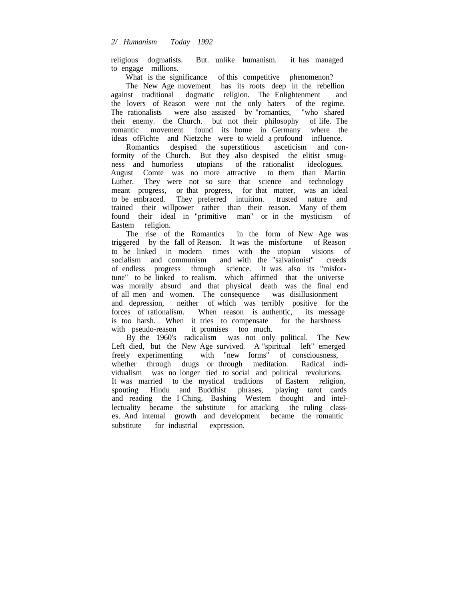religious dogmatists. But. unlike humanism. it has managed to engage millions.

What is the significance of this competitive phenomenon?

The New Age movement has its roots deep in the rebellion against traditional dogmatic religion. The Enlightenment and the lovers of Reason were not the only haters of the regime. The rationalists were also assisted by "romantics, "who shared their enemy. the Church. but not their philosophy of life. The romantic movement found its home in Germany where the ideas ofFichte and Nietzche were to wield a profound influence.

Romantics despised the superstitious asceticism and conformity of the Church. But they also despised the elitist smugness and humorless utopians of the rationalist ideologues. August Comte was no more attractive to them than Martin Luther. They were not so sure that science and technology meant progress, or that progress, for that matter, was an ideal to be embraced. They preferred intuition. trusted nature and trained their willpower rather than their reason. Many of them found their ideal in "primitive man" or in the mysticism of Eastem religion.

The rise of the Romantics in the form of New Age was triggered by the fall of Reason. It was the misfortune of Reason to be linked in modern times with the utopian visions of socialism and communism and with the "salvationist" creeds of endless progress through science. It was also its "misfortune" to be linked to realism. which affirmed that the universe was morally absurd and that physical death was the final end of all men and women. The consequence was disillusionment and depression, neither of which was terribly positive for the forces of rationalism. When reason is authentic, its message is too harsh. When it tries to compensate for the harshness with pseudo-reason it promises too much.

By the 1960's radicalism was not only political. The New Left died, but the New Age survived. A "spiritual left" emerged freely experimenting with "new forms" of consciousness, whether through drugs or through meditation. Radical individualism was no longer tied to social and political revolutions. It was married to the mystical traditions of Eastern religion, spouting Hindu and Buddhist phrases, playing tarot cards and reading the I Ching, Bashing Westem thought and intellectuality became the substitute for attacking the ruling classes. And intemal growth and development became the romantic substitute for industrial expression.